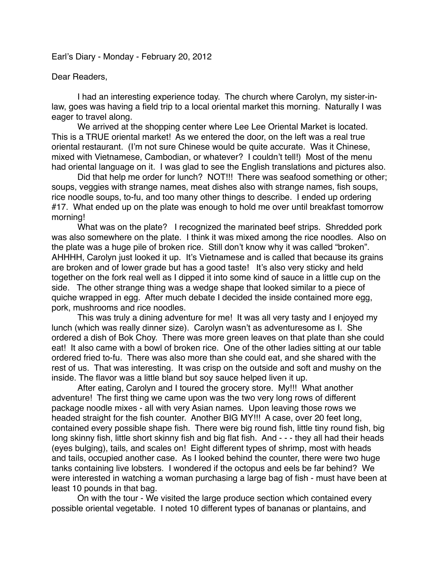Earl's Diary - Monday - February 20, 2012

## Dear Readers,

I had an interesting experience today. The church where Carolyn, my sister-inlaw, goes was having a field trip to a local oriental market this morning. Naturally I was eager to travel along.

We arrived at the shopping center where Lee Lee Oriental Market is located. This is a TRUE oriental market! As we entered the door, on the left was a real true oriental restaurant. (I'm not sure Chinese would be quite accurate. Was it Chinese, mixed with Vietnamese, Cambodian, or whatever? I couldn't tell!) Most of the menu had oriental language on it. I was glad to see the English translations and pictures also.

Did that help me order for lunch? NOT!!! There was seafood something or other; soups, veggies with strange names, meat dishes also with strange names, fish soups, rice noodle soups, to-fu, and too many other things to describe. I ended up ordering #17. What ended up on the plate was enough to hold me over until breakfast tomorrow morning!

What was on the plate? I recognized the marinated beef strips. Shredded pork was also somewhere on the plate. I think it was mixed among the rice noodles. Also on the plate was a huge pile of broken rice. Still don't know why it was called "broken". AHHHH, Carolyn just looked it up. It's Vietnamese and is called that because its grains are broken and of lower grade but has a good taste! It's also very sticky and held together on the fork real well as I dipped it into some kind of sauce in a little cup on the side. The other strange thing was a wedge shape that looked similar to a piece of quiche wrapped in egg. After much debate I decided the inside contained more egg, pork, mushrooms and rice noodles.

This was truly a dining adventure for me! It was all very tasty and I enjoyed my lunch (which was really dinner size). Carolyn wasn't as adventuresome as I. She ordered a dish of Bok Choy. There was more green leaves on that plate than she could eat! It also came with a bowl of broken rice. One of the other ladies sitting at our table ordered fried to-fu. There was also more than she could eat, and she shared with the rest of us. That was interesting. It was crisp on the outside and soft and mushy on the inside. The flavor was a little bland but soy sauce helped liven it up.

After eating, Carolyn and I toured the grocery store. My!!! What another adventure! The first thing we came upon was the two very long rows of different package noodle mixes - all with very Asian names. Upon leaving those rows we headed straight for the fish counter. Another BIG MY!!! A case, over 20 feet long, contained every possible shape fish. There were big round fish, little tiny round fish, big long skinny fish, little short skinny fish and big flat fish. And - - - they all had their heads (eyes bulging), tails, and scales on! Eight different types of shrimp, most with heads and tails, occupied another case. As I looked behind the counter, there were two huge tanks containing live lobsters. I wondered if the octopus and eels be far behind? We were interested in watching a woman purchasing a large bag of fish - must have been at least 10 pounds in that bag.

On with the tour - We visited the large produce section which contained every possible oriental vegetable. I noted 10 different types of bananas or plantains, and